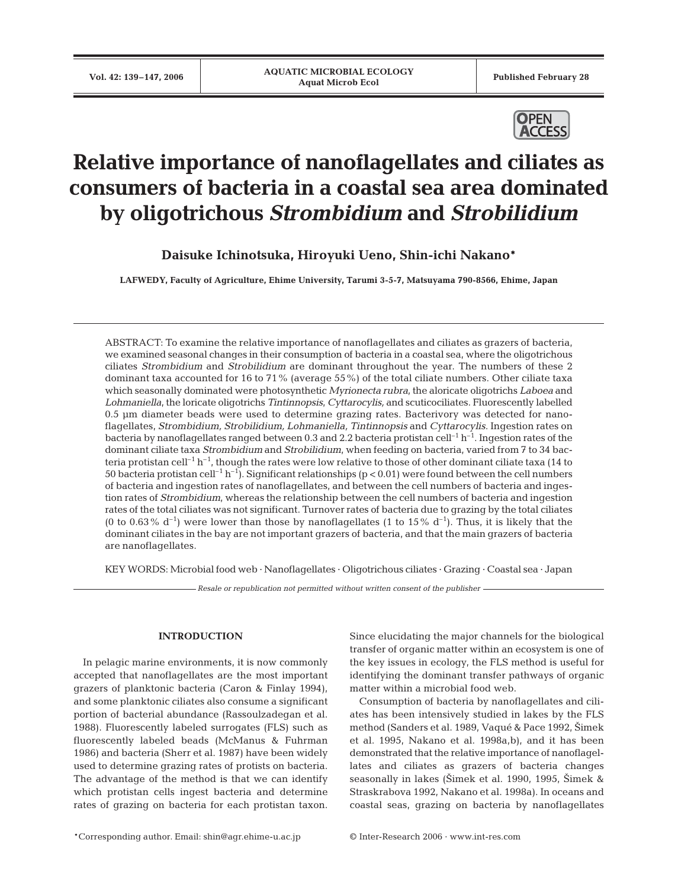

# **Relative importance of nanoflagellates and ciliates as consumers of bacteria in a coastal sea area dominated by oligotrichous** *Strombidium* **and** *Strobilidium*

**Daisuke Ichinotsuka, Hiroyuki Ueno, Shin-ichi Nakano\***

**LAFWEDY, Faculty of Agriculture, Ehime University, Tarumi 3-5-7, Matsuyama 790-8566, Ehime, Japan**

ABSTRACT: To examine the relative importance of nanoflagellates and ciliates as grazers of bacteria, we examined seasonal changes in their consumption of bacteria in a coastal sea, where the oligotrichous ciliates *Strombidium* and *Strobilidium* are dominant throughout the year. The numbers of these 2 dominant taxa accounted for 16 to 71% (average 55%) of the total ciliate numbers. Other ciliate taxa which seasonally dominated were photosynthetic *Myrionecta rubra*, the aloricate oligotrichs *Laboea* and *Lohmaniella*, the loricate oligotrichs *Tintinnopsis*, *Cyttarocylis,* and scuticociliates. Fluorescently labelled 0.5 µm diameter beads were used to determine grazing rates. Bacterivory was detected for nanoflagellates, *Strombidium, Strobilidium, Lohmaniella, Tintinnopsis* and *Cyttarocylis*. Ingestion rates on bacteria by nanoflagellates ranged between 0.3 and 2.2 bacteria protistan cell<sup>-1</sup> h<sup>-1</sup>. Ingestion rates of the dominant ciliate taxa *Strombidium* and *Strobilidium*, when feeding on bacteria, varied from 7 to 34 bacteria protistan cell<sup>-1</sup> h<sup>-1</sup>, though the rates were low relative to those of other dominant ciliate taxa (14 to 50 bacteria protistan cell<sup>-1</sup> h<sup>-1</sup>). Significant relationships (p < 0.01) were found between the cell numbers of bacteria and ingestion rates of nanoflagellates, and between the cell numbers of bacteria and ingestion rates of *Strombidium*, whereas the relationship between the cell numbers of bacteria and ingestion rates of the total ciliates was not significant. Turnover rates of bacteria due to grazing by the total ciliates (0 to 0.63% d<sup>-1</sup>) were lower than those by nanoflagellates (1 to 15% d<sup>-1</sup>). Thus, it is likely that the dominant ciliates in the bay are not important grazers of bacteria, and that the main grazers of bacteria are nanoflagellates.

KEY WORDS: Microbial food web · Nanoflagellates · Oligotrichous ciliates · Grazing · Coastal sea · Japan

*Resale or republication not permitted without written consent of the publisher*

# **INTRODUCTION**

In pelagic marine environments, it is now commonly accepted that nanoflagellates are the most important grazers of planktonic bacteria (Caron & Finlay 1994), and some planktonic ciliates also consume a significant portion of bacterial abundance (Rassoulzadegan et al. 1988). Fluorescently labeled surrogates (FLS) such as fluorescently labeled beads (McManus & Fuhrman 1986) and bacteria (Sherr et al. 1987) have been widely used to determine grazing rates of protists on bacteria. The advantage of the method is that we can identify which protistan cells ingest bacteria and determine rates of grazing on bacteria for each protistan taxon.

Since elucidating the major channels for the biological transfer of organic matter within an ecosystem is one of the key issues in ecology, the FLS method is useful for identifying the dominant transfer pathways of organic matter within a microbial food web.

Consumption of bacteria by nanoflagellates and ciliates has been intensively studied in lakes by the FLS method (Sanders et al. 1989, Vaqué & Pace 1992, Šimek et al. 1995, Nakano et al. 1998a,b), and it has been demonstrated that the relative importance of nanoflagellates and ciliates as grazers of bacteria changes seasonally in lakes (2imek et al. 1990, 1995, 2imek & Straskrabova 1992, Nakano et al. 1998a). In oceans and coastal seas, grazing on bacteria by nanoflagellates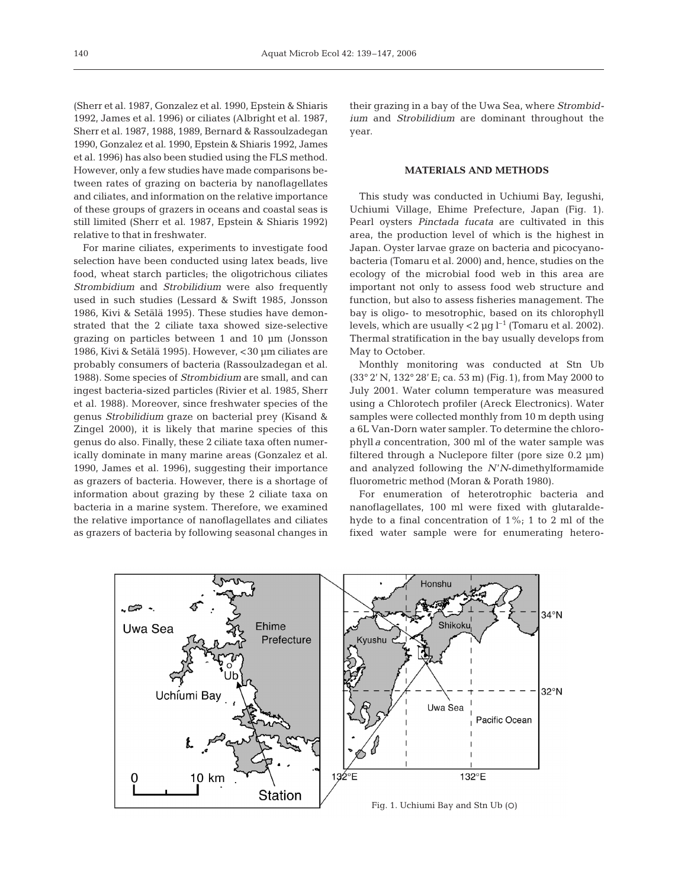(Sherr et al. 1987, Gonzalez et al. 1990, Epstein & Shiaris 1992, James et al. 1996) or ciliates (Albright et al. 1987, Sherr et al. 1987, 1988, 1989, Bernard & Rassoulzadegan 1990, Gonzalez et al. 1990, Epstein & Shiaris 1992, James et al. 1996) has also been studied using the FLS method. However, only a few studies have made comparisons between rates of grazing on bacteria by nanoflagellates and ciliates, and information on the relative importance of these groups of grazers in oceans and coastal seas is still limited (Sherr et al. 1987, Epstein & Shiaris 1992) relative to that in freshwater.

For marine ciliates, experiments to investigate food selection have been conducted using latex beads, live food, wheat starch particles; the oligotrichous ciliates *Strombidium* and *Strobilidium* were also frequently used in such studies (Lessard & Swift 1985, Jonsson 1986, Kivi & Setälä 1995). These studies have demonstrated that the 2 ciliate taxa showed size-selective grazing on particles between 1 and 10 µm (Jonsson 1986, Kivi & Setälä 1995). However, <30 µm ciliates are probably consumers of bacteria (Rassoulzadegan et al. 1988). Some species of *Strombidium* are small, and can ingest bacteria-sized particles (Rivier et al. 1985, Sherr et al. 1988). Moreover, since freshwater species of the genus *Strobilidium* graze on bacterial prey (Kisand & Zingel 2000), it is likely that marine species of this genus do also. Finally, these 2 ciliate taxa often numerically dominate in many marine areas (Gonzalez et al. 1990, James et al. 1996), suggesting their importance as grazers of bacteria. However, there is a shortage of information about grazing by these 2 ciliate taxa on bacteria in a marine system. Therefore, we examined the relative importance of nanoflagellates and ciliates as grazers of bacteria by following seasonal changes in

their grazing in a bay of the Uwa Sea, where *Strombidium* and *Strobilidium* are dominant throughout the year.

## **MATERIALS AND METHODS**

This study was conducted in Uchiumi Bay, Iegushi, Uchiumi Village, Ehime Prefecture, Japan (Fig. 1). Pearl oysters *Pinctada fucata* are cultivated in this area, the production level of which is the highest in Japan. Oyster larvae graze on bacteria and picocyanobacteria (Tomaru et al. 2000) and, hence, studies on the ecology of the microbial food web in this area are important not only to assess food web structure and function, but also to assess fisheries management. The bay is oligo- to mesotrophic, based on its chlorophyll levels, which are usually  $<$  2  $\mu$ g l<sup>-1</sup> (Tomaru et al. 2002). Thermal stratification in the bay usually develops from May to October.

Monthly monitoring was conducted at Stn Ub (33° 2' N, 132° 28' E; ca. 53 m) (Fig.1), from May 2000 to July 2001. Water column temperature was measured using a Chlorotech profiler (Areck Electronics). Water samples were collected monthly from 10 m depth using a 6L Van-Dorn water sampler. To determine the chlorophyll *a* concentration, 300 ml of the water sample was filtered through a Nuclepore filter (pore size 0.2 µm) and analyzed following the *N*'*N*-dimethylformamide fluorometric method (Moran & Porath 1980).

For enumeration of heterotrophic bacteria and nanoflagellates, 100 ml were fixed with glutaraldehyde to a final concentration of 1%; 1 to 2 ml of the fixed water sample were for enumerating hetero-

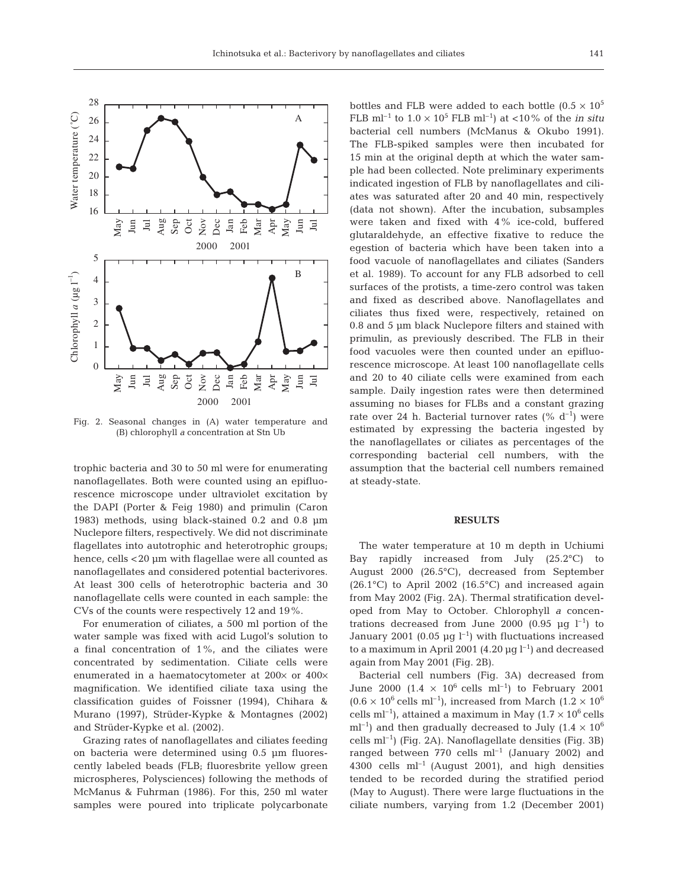

Fig. 2. Seasonal changes in (A) water temperature and (B) chlorophyll *a* concentration at Stn Ub

trophic bacteria and 30 to 50 ml were for enumerating nanoflagellates. Both were counted using an epifluorescence microscope under ultraviolet excitation by the DAPI (Porter & Feig 1980) and primulin (Caron 1983) methods, using black-stained 0.2 and 0.8 µm Nuclepore filters, respectively. We did not discriminate flagellates into autotrophic and heterotrophic groups; hence, cells <20 µm with flagellae were all counted as nanoflagellates and considered potential bacterivores. At least 300 cells of heterotrophic bacteria and 30 nanoflagellate cells were counted in each sample: the CVs of the counts were respectively 12 and 19%.

For enumeration of ciliates, a 500 ml portion of the water sample was fixed with acid Lugol's solution to a final concentration of 1%, and the ciliates were concentrated by sedimentation. Ciliate cells were enumerated in a haematocytometer at 200× or 400× magnification. We identified ciliate taxa using the classification guides of Foissner (1994), Chihara & Murano (1997), Strüder-Kypke & Montagnes (2002) and Strüder-Kypke et al. (2002).

Grazing rates of nanoflagellates and ciliates feeding on bacteria were determined using 0.5 µm fluorescently labeled beads (FLB; fluoresbrite yellow green microspheres, Polysciences) following the methods of McManus & Fuhrman (1986). For this, 250 ml water samples were poured into triplicate polycarbonate

bottles and FLB were added to each bottle  $(0.5 \times 10^5$ FLB ml<sup>-1</sup> to  $1.0 \times 10^5$  FLB ml<sup>-1</sup>) at <10% of the *in situ* bacterial cell numbers (McManus & Okubo 1991). The FLB-spiked samples were then incubated for 15 min at the original depth at which the water sample had been collected. Note preliminary experiments indicated ingestion of FLB by nanoflagellates and ciliates was saturated after 20 and 40 min, respectively (data not shown). After the incubation, subsamples were taken and fixed with 4% ice-cold, buffered glutaraldehyde, an effective fixative to reduce the egestion of bacteria which have been taken into a food vacuole of nanoflagellates and ciliates (Sanders et al. 1989). To account for any FLB adsorbed to cell surfaces of the protists, a time-zero control was taken and fixed as described above. Nanoflagellates and ciliates thus fixed were, respectively, retained on 0.8 and 5 µm black Nuclepore filters and stained with primulin, as previously described. The FLB in their food vacuoles were then counted under an epifluorescence microscope. At least 100 nanoflagellate cells and 20 to 40 ciliate cells were examined from each sample. Daily ingestion rates were then determined assuming no biases for FLBs and a constant grazing rate over 24 h. Bacterial turnover rates  $(\%$  d<sup>-1</sup>) were estimated by expressing the bacteria ingested by the nanoflagellates or ciliates as percentages of the corresponding bacterial cell numbers, with the assumption that the bacterial cell numbers remained at steady-state.

# **RESULTS**

The water temperature at 10 m depth in Uchiumi Bay rapidly increased from July (25.2°C) to August 2000 (26.5°C), decreased from September  $(26.1^{\circ}C)$  to April 2002  $(16.5^{\circ}C)$  and increased again from May 2002 (Fig. 2A). Thermal stratification developed from May to October. Chlorophyll *a* concentrations decreased from June 2000 (0.95  $\mu$ g l<sup>-1</sup>) to January 2001 (0.05  $\mu$ g l<sup>-1</sup>) with fluctuations increased to a maximum in April 2001 (4.20  $\mu$ g l<sup>-1</sup>) and decreased again from May 2001 (Fig. 2B).

Bacterial cell numbers (Fig. 3A) decreased from June 2000 (1.4  $\times$  10<sup>6</sup> cells ml<sup>-1</sup>) to February 2001  $(0.6 \times 10^6 \text{ cells m}^{-1})$ , increased from March  $(1.2 \times 10^6 \text{ cm}^{-1})$ cells ml<sup>-1</sup>), attained a maximum in May  $(1.7 \times 10^6 \text{ cells})$  $ml^{-1}$ ) and then gradually decreased to July (1.4  $\times$  10<sup>6</sup>) cells  $ml^{-1}$ ) (Fig. 2A). Nanoflagellate densities (Fig. 3B) ranged between 770 cells  $ml^{-1}$  (January 2002) and 4300 cells  $ml^{-1}$  (August 2001), and high densities tended to be recorded during the stratified period (May to August). There were large fluctuations in the ciliate numbers, varying from 1.2 (December 2001)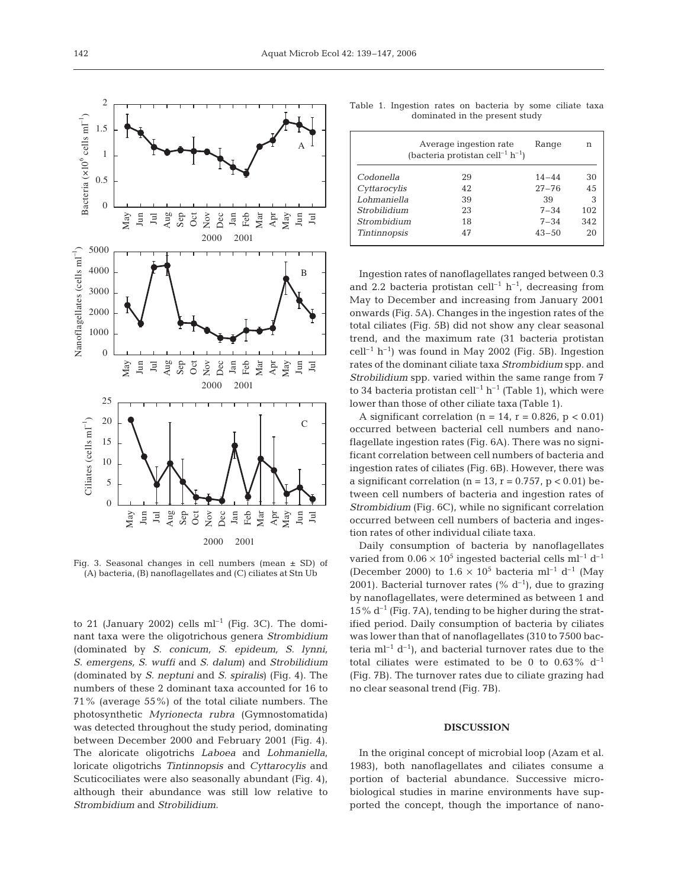

Fig. 3. Seasonal changes in cell numbers (mean  $\pm$  SD) of (A) bacteria, (B) nanoflagellates and (C) ciliates at Stn Ub

to 21 (January 2002) cells  $ml^{-1}$  (Fig. 3C). The dominant taxa were the oligotrichous genera *Strombidium* (dominated by *S. conicum, S. epideum, S. lynni, S. emergens, S. wuffi* and *S. dalum*) and *Strobilidium* (dominated by *S. neptuni* and *S. spiralis*) (Fig. 4). The numbers of these 2 dominant taxa accounted for 16 to 71% (average 55%) of the total ciliate numbers. The photosynthetic *Myrionecta rubra* (Gymnostomatida) was detected throughout the study period, dominating between December 2000 and February 2001 (Fig. 4). The aloricate oligotrichs *Laboea* and *Lohmaniella*, loricate oligotrichs *Tintinnopsis* and *Cyttarocylis* and Scuticociliates were also seasonally abundant (Fig. 4), although their abundance was still low relative to *Strombidium* and *Strobilidium*.

Table 1. Ingestion rates on bacteria by some ciliate taxa dominated in the present study

| (bacteria protistan cell <sup>-1</sup> h <sup>-1</sup> ) | Range | n         |     |
|----------------------------------------------------------|-------|-----------|-----|
| Codonella                                                | 29    | $14 - 44$ | 30  |
| Cyttarocylis                                             | 42    | $27 - 76$ | 45  |
| Lohmaniella                                              | 39    | 39        | 3   |
| Strobilidium                                             | 23    | $7 - 34$  | 102 |
| Strombidium                                              | 18    | $7 - 34$  | 342 |
| <b>Tintinnopsis</b>                                      | 47    | $43 - 50$ | 20  |

Ingestion rates of nanoflagellates ranged between 0.3 and 2.2 bacteria protistan cell<sup>-1</sup>  $h^{-1}$ , decreasing from May to December and increasing from January 2001 onwards (Fig. 5A). Changes in the ingestion rates of the total ciliates (Fig. 5B) did not show any clear seasonal trend, and the maximum rate (31 bacteria protistan  $cell^{-1} h^{-1}$ ) was found in May 2002 (Fig. 5B). Ingestion rates of the dominant ciliate taxa *Strombidium* spp. and *Strobilidium* spp. varied within the same range from 7 to 34 bacteria protistan cell<sup>-1</sup>  $h^{-1}$  (Table 1), which were lower than those of other ciliate taxa (Table 1).

A significant correlation (n = 14, r = 0.826, p < 0.01) occurred between bacterial cell numbers and nanoflagellate ingestion rates (Fig. 6A). There was no significant correlation between cell numbers of bacteria and ingestion rates of ciliates (Fig. 6B). However, there was a significant correlation ( $n = 13$ ,  $r = 0.757$ ,  $p < 0.01$ ) between cell numbers of bacteria and ingestion rates of *Strombidium* (Fig. 6C), while no significant correlation occurred between cell numbers of bacteria and ingestion rates of other individual ciliate taxa.

Daily consumption of bacteria by nanoflagellates varied from  $0.06 \times 10^5$  ingested bacterial cells ml<sup>-1</sup> d<sup>-1</sup> (December 2000) to  $1.6 \times 10^5$  bacteria ml<sup>-1</sup> d<sup>-1</sup> (May 2001). Bacterial turnover rates (%  $d^{-1}$ ), due to grazing by nanoflagellates, were determined as between 1 and  $15\%$  d<sup>-1</sup> (Fig. 7A), tending to be higher during the stratified period. Daily consumption of bacteria by ciliates was lower than that of nanoflagellates (310 to 7500 bacteria  $ml^{-1} d^{-1}$ , and bacterial turnover rates due to the total ciliates were estimated to be 0 to  $0.63\%$  d<sup>-1</sup> (Fig. 7B). The turnover rates due to ciliate grazing had no clear seasonal trend (Fig. 7B).

## **DISCUSSION**

In the original concept of microbial loop (Azam et al. 1983), both nanoflagellates and ciliates consume a portion of bacterial abundance. Successive microbiological studies in marine environments have supported the concept, though the importance of nano-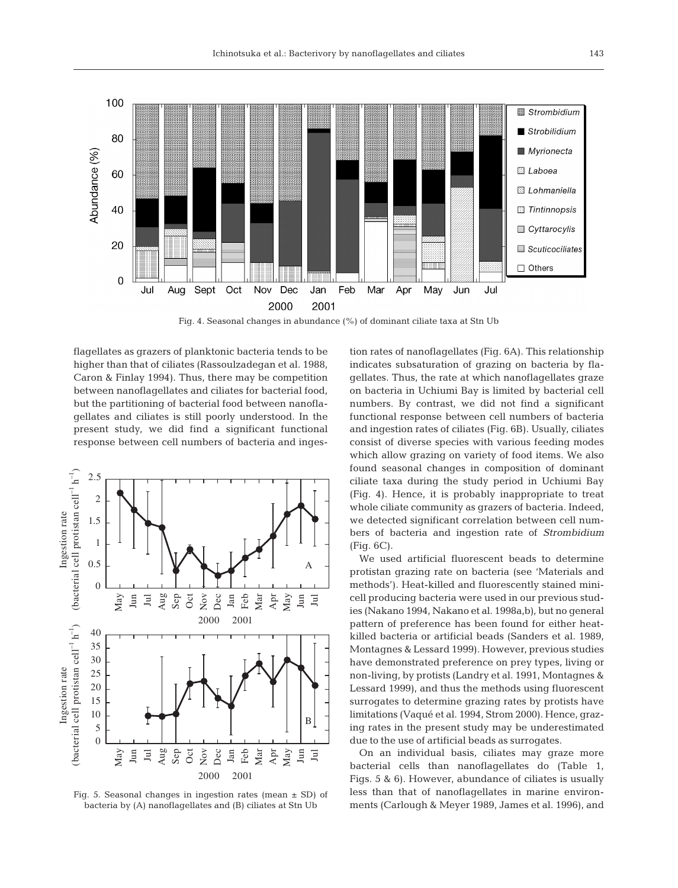

Fig. 4. Seasonal changes in abundance (%) of dominant ciliate taxa at Stn Ub

flagellates as grazers of planktonic bacteria tends to be higher than that of ciliates (Rassoulzadegan et al. 1988, Caron & Finlay 1994). Thus, there may be competition between nanoflagellates and ciliates for bacterial food, but the partitioning of bacterial food between nanoflagellates and ciliates is still poorly understood. In the present study, we did find a significant functional response between cell numbers of bacteria and inges-



Fig. 5. Seasonal changes in ingestion rates (mean  $\pm$  SD) of bacteria by (A) nanoflagellates and (B) ciliates at Stn Ub

tion rates of nanoflagellates (Fig. 6A). This relationship indicates subsaturation of grazing on bacteria by flagellates. Thus, the rate at which nanoflagellates graze on bacteria in Uchiumi Bay is limited by bacterial cell numbers. By contrast, we did not find a significant functional response between cell numbers of bacteria and ingestion rates of ciliates (Fig. 6B). Usually, ciliates consist of diverse species with various feeding modes which allow grazing on variety of food items. We also found seasonal changes in composition of dominant ciliate taxa during the study period in Uchiumi Bay (Fig. 4). Hence, it is probably inappropriate to treat whole ciliate community as grazers of bacteria. Indeed, we detected significant correlation between cell numbers of bacteria and ingestion rate of *Strombidium* (Fig. 6C).

We used artificial fluorescent beads to determine protistan grazing rate on bacteria (see 'Materials and methods'). Heat-killed and fluorescently stained minicell producing bacteria were used in our previous studies (Nakano 1994, Nakano et al. 1998a,b), but no general pattern of preference has been found for either heatkilled bacteria or artificial beads (Sanders et al. 1989, Montagnes & Lessard 1999). However, previous studies have demonstrated preference on prey types, living or non-living, by protists (Landry et al. 1991, Montagnes & Lessard 1999), and thus the methods using fluorescent surrogates to determine grazing rates by protists have limitations (Vaqué et al. 1994, Strom 2000). Hence, grazing rates in the present study may be underestimated due to the use of artificial beads as surrogates.

On an individual basis, ciliates may graze more bacterial cells than nanoflagellates do (Table 1, Figs. 5 & 6). However, abundance of ciliates is usually less than that of nanoflagellates in marine environments (Carlough & Meyer 1989, James et al. 1996), and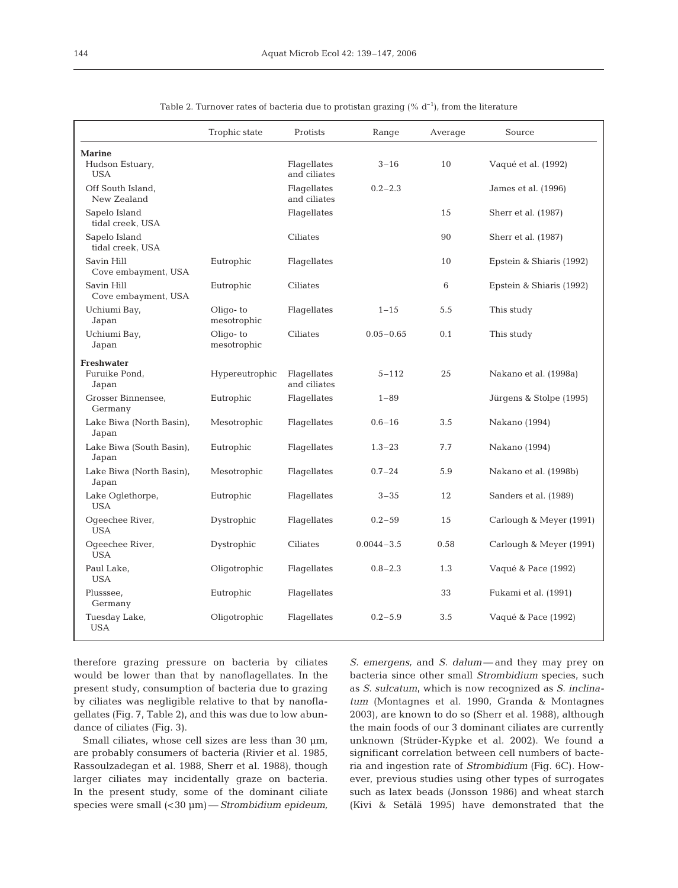|                                                | Trophic state              | Protists                    | Range          | Average | Source                   |
|------------------------------------------------|----------------------------|-----------------------------|----------------|---------|--------------------------|
| <b>Marine</b><br>Hudson Estuary,<br><b>USA</b> |                            | Flagellates<br>and ciliates | $3 - 16$       | 10      | Vaqué et al. (1992)      |
| Off South Island,<br>New Zealand               |                            | Flagellates<br>and ciliates | $0.2 - 2.3$    |         | James et al. (1996)      |
| Sapelo Island<br>tidal creek, USA              |                            | Flagellates                 |                | 15      | Sherr et al. (1987)      |
| Sapelo Island<br>tidal creek, USA              |                            | Ciliates                    |                | 90      | Sherr et al. (1987)      |
| Savin Hill<br>Cove embayment, USA              | Eutrophic                  | Flagellates                 |                | 10      | Epstein & Shiaris (1992) |
| Savin Hill<br>Cove embayment, USA              | Eutrophic                  | Ciliates                    |                | 6       | Epstein & Shiaris (1992) |
| Uchiumi Bay,<br>Japan                          | Oligo- $to$<br>mesotrophic | Flaqellates                 | $1 - 15$       | 5.5     | This study               |
| Uchiumi Bay,<br>Japan                          | Oligo-to<br>mesotrophic    | Ciliates                    | $0.05 - 0.65$  | 0.1     | This study               |
| <b>Freshwater</b><br>Furuike Pond,<br>Japan    | Hypereutrophic             | Flagellates<br>and ciliates | $5 - 112$      | 25      | Nakano et al. (1998a)    |
| Grosser Binnensee,<br>Germany                  | Eutrophic                  | Flaqellates                 | $1 - 89$       |         | Jürgens & Stolpe (1995)  |
| Lake Biwa (North Basin),<br>Japan              | Mesotrophic                | Flagellates                 | $0.6 - 16$     | 3.5     | Nakano (1994)            |
| Lake Biwa (South Basin),<br>Japan              | Eutrophic                  | Flagellates                 | $1.3 - 23$     | 7.7     | Nakano (1994)            |
| Lake Biwa (North Basin),<br>Japan              | Mesotrophic                | Flagellates                 | $0.7 - 24$     | 5.9     | Nakano et al. (1998b)    |
| Lake Oglethorpe,<br><b>USA</b>                 | Eutrophic                  | Flaqellates                 | $3 - 35$       | 12      | Sanders et al. (1989)    |
| Ogeechee River,<br><b>USA</b>                  | Dystrophic                 | Flagellates                 | $0.2 - 59$     | 15      | Carlough & Meyer (1991)  |
| Ogeechee River,<br><b>USA</b>                  | Dystrophic                 | Ciliates                    | $0.0044 - 3.5$ | 0.58    | Carlough & Meyer (1991)  |
| Paul Lake,<br><b>USA</b>                       | Oligotrophic               | Flagellates                 | $0.8 - 2.3$    | 1.3     | Vaqué & Pace (1992)      |
| Plusssee,<br>Germany                           | Eutrophic                  | Flagellates                 |                | 33      | Fukami et al. (1991)     |
| Tuesday Lake,<br><b>USA</b>                    | Oligotrophic               | Flagellates                 | $0.2 - 5.9$    | 3.5     | Vaqué & Pace (1992)      |

Table 2. Turnover rates of bacteria due to protistan grazing (%  $d^{-1}$ ), from the literature

therefore grazing pressure on bacteria by ciliates would be lower than that by nanoflagellates. In the present study, consumption of bacteria due to grazing by ciliates was negligible relative to that by nanoflagellates (Fig. 7, Table 2), and this was due to low abundance of ciliates (Fig. 3).

Small ciliates, whose cell sizes are less than 30  $\mu$ m, are probably consumers of bacteria (Rivier et al. 1985, Rassoulzadegan et al. 1988, Sherr et al. 1988), though larger ciliates may incidentally graze on bacteria. In the present study, some of the dominant ciliate species were small (<30 µm) —*Strombidium epideum,*

*S. emergens,* and *S. dalum* — and they may prey on bacteria since other small *Strombidium* species, such as *S. sulcatum*, which is now recognized as *S. inclinatum* (Montagnes et al. 1990, Granda & Montagnes 2003)*,* are known to do so (Sherr et al. 1988), although the main foods of our 3 dominant ciliates are currently unknown (Strüder-Kypke et al. 2002). We found a significant correlation between cell numbers of bacteria and ingestion rate of *Strombidium* (Fig. 6C). However, previous studies using other types of surrogates such as latex beads (Jonsson 1986) and wheat starch (Kivi & Setälä 1995) have demonstrated that the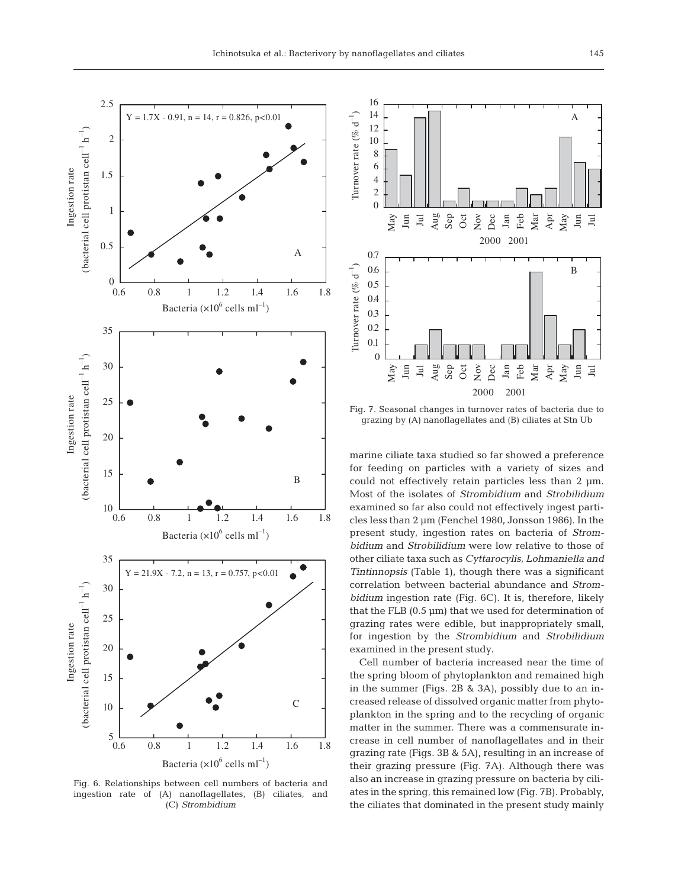

Fig. 6. Relationships between cell numbers of bacteria and ingestion rate of (A) nanoflagellates, (B) ciliates, and (C) *Strombidium*



Fig. 7. Seasonal changes in turnover rates of bacteria due to grazing by (A) nanoflagellates and (B) ciliates at Stn Ub

marine ciliate taxa studied so far showed a preference for feeding on particles with a variety of sizes and could not effectively retain particles less than 2 µm. Most of the isolates of *Strombidium* and *Strobilidium* examined so far also could not effectively ingest particles less than 2 µm (Fenchel 1980, Jonsson 1986). In the present study, ingestion rates on bacteria of *Strombidium* and *Strobilidium* were low relative to those of other ciliate taxa such as *Cyttarocylis, Lohmaniella and Tintinnopsis* (Table 1), though there was a significant correlation between bacterial abundance and *Strombidium* ingestion rate (Fig. 6C). It is, therefore, likely that the FLB  $(0.5 \,\mathrm{\upmu m})$  that we used for determination of grazing rates were edible, but inappropriately small, for ingestion by the *Strombidium* and *Strobilidium* examined in the present study.

Cell number of bacteria increased near the time of the spring bloom of phytoplankton and remained high in the summer (Figs. 2B & 3A), possibly due to an increased release of dissolved organic matter from phytoplankton in the spring and to the recycling of organic matter in the summer. There was a commensurate increase in cell number of nanoflagellates and in their grazing rate (Figs. 3B & 5A), resulting in an increase of their grazing pressure (Fig. 7A). Although there was also an increase in grazing pressure on bacteria by ciliates in the spring, this remained low (Fig. 7B). Probably, the ciliates that dominated in the present study mainly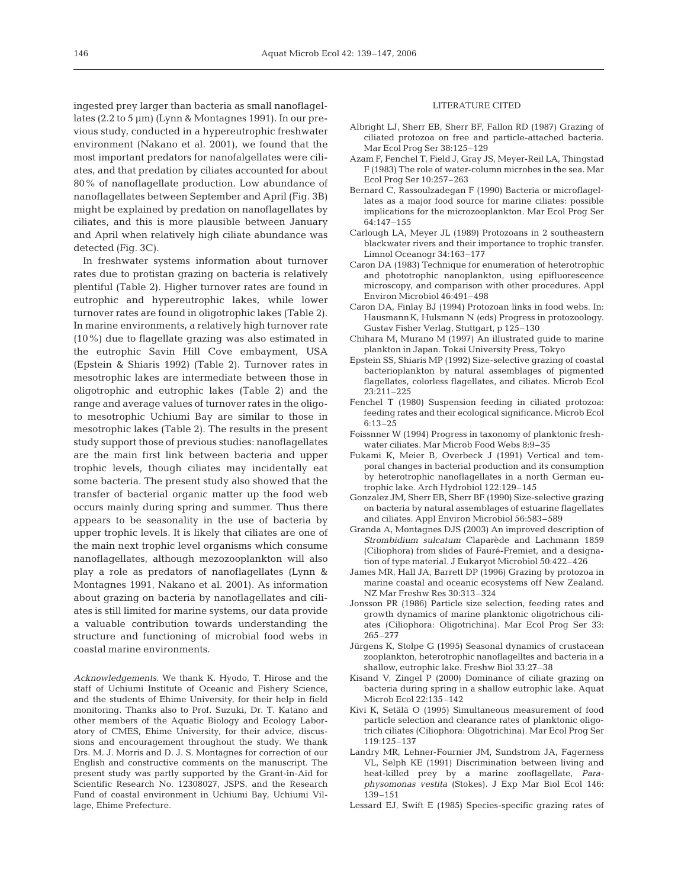ingested prey larger than bacteria as small nanoflagellates (2.2 to 5 µm) (Lynn & Montagnes 1991). In our previous study, conducted in a hypereutrophic freshwater environment (Nakano et al. 2001), we found that the most important predators for nanofalgellates were ciliates, and that predation by ciliates accounted for about 80% of nanoflagellate production. Low abundance of nanoflagellates between September and April (Fig. 3B) might be explained by predation on nanoflagellates by ciliates, and this is more plausible between January and April when relatively high ciliate abundance was detected (Fig. 3C).

In freshwater systems information about turnover rates due to protistan grazing on bacteria is relatively plentiful (Table 2). Higher turnover rates are found in eutrophic and hypereutrophic lakes, while lower turnover rates are found in oligotrophic lakes (Table 2). In marine environments, a relatively high turnover rate (10%) due to flagellate grazing was also estimated in the eutrophic Savin Hill Cove embayment, USA (Epstein & Shiaris 1992) (Table 2). Turnover rates in mesotrophic lakes are intermediate between those in oligotrophic and eutrophic lakes (Table 2) and the range and average values of turnover rates in the oligoto mesotrophic Uchiumi Bay are similar to those in mesotrophic lakes (Table 2). The results in the present study support those of previous studies: nanoflagellates are the main first link between bacteria and upper trophic levels, though ciliates may incidentally eat some bacteria. The present study also showed that the transfer of bacterial organic matter up the food web occurs mainly during spring and summer. Thus there appears to be seasonality in the use of bacteria by upper trophic levels. It is likely that ciliates are one of the main next trophic level organisms which consume nanoflagellates, although mezozooplankton will also play a role as predators of nanoflagellates (Lynn & Montagnes 1991, Nakano et al. 2001). As information about grazing on bacteria by nanoflagellates and ciliates is still limited for marine systems, our data provide a valuable contribution towards understanding the structure and functioning of microbial food webs in coastal marine environments.

*Acknowledgements.* We thank K. Hyodo, T. Hirose and the staff of Uchiumi Institute of Oceanic and Fishery Science, and the students of Ehime University, for their help in field monitoring. Thanks also to Prof. Suzuki, Dr. T. Katano and other members of the Aquatic Biology and Ecology Laboratory of CMES, Ehime University, for their advice, discussions and encouragement throughout the study. We thank Drs. M. J. Morris and D. J. S. Montagnes for correction of our English and constructive comments on the manuscript. The present study was partly supported by the Grant-in-Aid for Scientific Research No. 12308027, JSPS, and the Research Fund of coastal environment in Uchiumi Bay, Uchiumi Village, Ehime Prefecture.

## LITERATURE CITED

- Albright LJ, Sherr EB, Sherr BF, Fallon RD (1987) Grazing of ciliated protozoa on free and particle-attached bacteria. Mar Ecol Prog Ser 38:125–129
- Azam F, Fenchel T, Field J, Gray JS, Meyer-Reil LA, Thingstad F (1983) The role of water-column microbes in the sea. Mar Ecol Prog Ser 10:257–263
- Bernard C, Rassoulzadegan F (1990) Bacteria or microflagellates as a major food source for marine ciliates: possible implications for the microzooplankton. Mar Ecol Prog Ser 64:147–155
- Carlough LA, Meyer JL (1989) Protozoans in 2 southeastern blackwater rivers and their importance to trophic transfer. Limnol Oceanogr 34:163–177
- Caron DA (1983) Technique for enumeration of heterotrophic and phototrophic nanoplankton, using epifluorescence microscopy, and comparison with other procedures. Appl Environ Microbiol 46:491–498
- Caron DA, Finlay BJ (1994) Protozoan links in food webs. In: HausmannK, Hulsmann N (eds) Progress in protozoology. Gustav Fisher Verlag, Stuttgart, p 125–130
- Chihara M, Murano M (1997) An illustrated guide to marine plankton in Japan. Tokai University Press, Tokyo
- Epstein SS, Shiaris MP (1992) Size-selective grazing of coastal bacterioplankton by natural assemblages of pigmented flagellates, colorless flagellates, and ciliates. Microb Ecol 23:211–225
- Fenchel T (1980) Suspension feeding in ciliated protozoa: feeding rates and their ecological significance. Microb Ecol 6:13–25
- Foissnner W (1994) Progress in taxonomy of planktonic freshwater ciliates. Mar Microb Food Webs 8:9–35
- Fukami K, Meier B, Overbeck J (1991) Vertical and temporal changes in bacterial production and its consumption by heterotrophic nanoflagellates in a north German eutrophic lake. Arch Hydrobiol 122:129–145
- Gonzalez JM, Sherr EB, Sherr BF (1990) Size-selective grazing on bacteria by natural assemblages of estuarine flagellates and ciliates. Appl Environ Microbiol 56:583–589
- Granda A, Montagnes DJS (2003) An improved description of *Strombidium sulcatum* Claparède and Lachmann 1859 (Ciliophora) from slides of Fauré-Fremiet, and a designation of type material. J Eukaryot Microbiol 50:422–426
- James MR, Hall JA, Barrett DP (1996) Grazing by protozoa in marine coastal and oceanic ecosystems off New Zealand. NZ Mar Freshw Res 30:313–324
- Jonsson PR (1986) Particle size selection, feeding rates and growth dynamics of marine planktonic oligotrichous ciliates (Ciliophora: Oligotrichina). Mar Ecol Prog Ser 33: 265–277
- Jürgens K, Stolpe G (1995) Seasonal dynamics of crustacean zooplankton, heterotrophic nanoflagelltes and bacteria in a shallow, eutrophic lake. Freshw Biol 33:27–38
- Kisand V, Zingel P (2000) Dominance of ciliate grazing on bacteria during spring in a shallow eutrophic lake. Aquat Microb Ecol 22:135–142
- Kivi K, Setälä O (1995) Simultaneous measurement of food particle selection and clearance rates of planktonic oligotrich ciliates (Ciliophora: Oligotrichina). Mar Ecol Prog Ser 119:125–137
- Landry MR, Lehner-Fournier JM, Sundstrom JA, Fagerness VL, Selph KE (1991) Discrimination between living and heat-killed prey by a marine zooflagellate, *Paraphysomonas vestita* (Stokes). J Exp Mar Biol Ecol 146: 139–151
- Lessard EJ, Swift E (1985) Species-specific grazing rates of